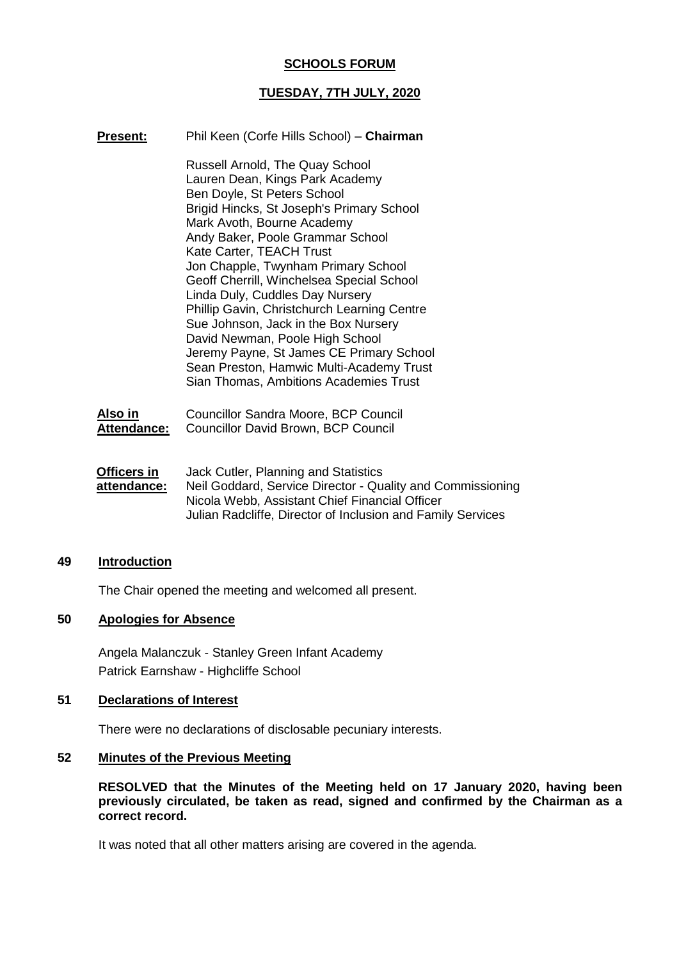# **SCHOOLS FORUM**

## **TUESDAY, 7TH JULY, 2020**

| Present: | Phil Keen (Corfe Hills School) - Chairman                                                                                                                                                                                                                                                                                                                                                                                                                                                                                                                                                                                              |
|----------|----------------------------------------------------------------------------------------------------------------------------------------------------------------------------------------------------------------------------------------------------------------------------------------------------------------------------------------------------------------------------------------------------------------------------------------------------------------------------------------------------------------------------------------------------------------------------------------------------------------------------------------|
|          | <b>Russell Arnold, The Quay School</b><br>Lauren Dean, Kings Park Academy<br>Ben Doyle, St Peters School<br>Brigid Hincks, St Joseph's Primary School<br>Mark Avoth, Bourne Academy<br>Andy Baker, Poole Grammar School<br>Kate Carter, TEACH Trust<br>Jon Chapple, Twynham Primary School<br>Geoff Cherrill, Winchelsea Special School<br>Linda Duly, Cuddles Day Nursery<br>Phillip Gavin, Christchurch Learning Centre<br>Sue Johnson, Jack in the Box Nursery<br>David Newman, Poole High School<br>Jeremy Payne, St James CE Primary School<br>Sean Preston, Hamwic Multi-Academy Trust<br>Sian Thomas, Ambitions Academies Trust |
|          |                                                                                                                                                                                                                                                                                                                                                                                                                                                                                                                                                                                                                                        |

| Also in     | Councillor Sandra Moore, BCP Council |
|-------------|--------------------------------------|
| Attendance: | Councillor David Brown, BCP Council  |

**Officers in attendance:** Jack Cutler, Planning and Statistics Neil Goddard, Service Director - Quality and Commissioning Nicola Webb, Assistant Chief Financial Officer Julian Radcliffe, Director of Inclusion and Family Services

#### **49 Introduction**

The Chair opened the meeting and welcomed all present.

# **50 Apologies for Absence**

Angela Malanczuk - Stanley Green Infant Academy Patrick Earnshaw - Highcliffe School

## **51 Declarations of Interest**

There were no declarations of disclosable pecuniary interests.

### **52 Minutes of the Previous Meeting**

**RESOLVED that the Minutes of the Meeting held on 17 January 2020, having been previously circulated, be taken as read, signed and confirmed by the Chairman as a correct record.**

It was noted that all other matters arising are covered in the agenda.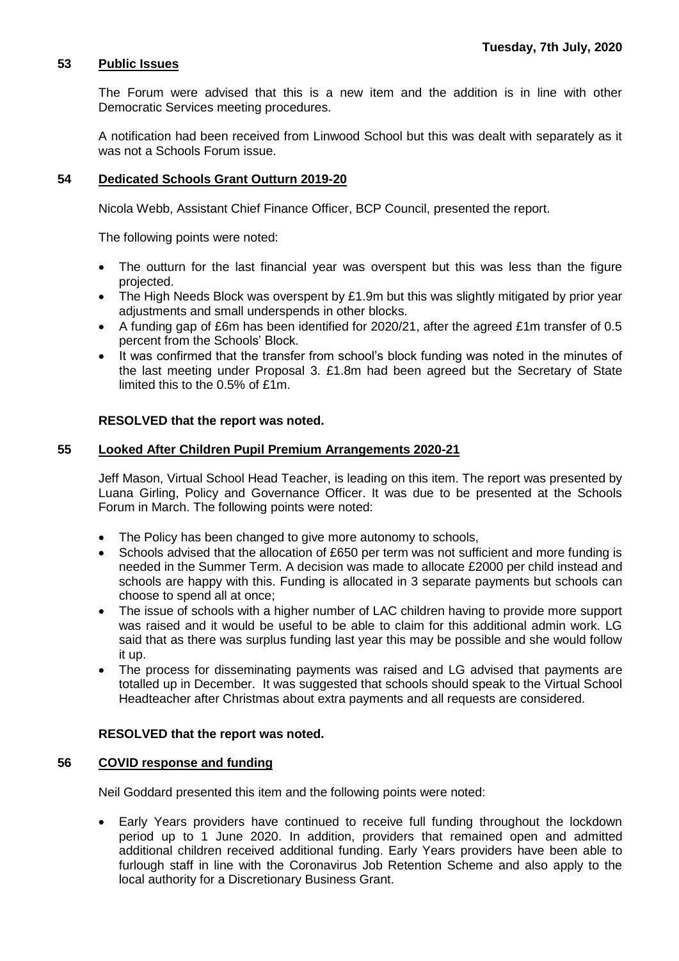# **53 Public Issues**

The Forum were advised that this is a new item and the addition is in line with other Democratic Services meeting procedures.

A notification had been received from Linwood School but this was dealt with separately as it was not a Schools Forum issue.

### **54 Dedicated Schools Grant Outturn 2019-20**

Nicola Webb, Assistant Chief Finance Officer, BCP Council, presented the report.

The following points were noted:

- The outturn for the last financial year was overspent but this was less than the figure projected.
- The High Needs Block was overspent by £1.9m but this was slightly mitigated by prior year adjustments and small underspends in other blocks.
- A funding gap of £6m has been identified for 2020/21, after the agreed £1m transfer of 0.5 percent from the Schools' Block.
- It was confirmed that the transfer from school's block funding was noted in the minutes of the last meeting under Proposal 3. £1.8m had been agreed but the Secretary of State limited this to the 0.5% of £1m.

## **RESOLVED that the report was noted.**

## **55 Looked After Children Pupil Premium Arrangements 2020-21**

Jeff Mason, Virtual School Head Teacher, is leading on this item. The report was presented by Luana Girling, Policy and Governance Officer. It was due to be presented at the Schools Forum in March. The following points were noted:

- The Policy has been changed to give more autonomy to schools,
- Schools advised that the allocation of £650 per term was not sufficient and more funding is needed in the Summer Term. A decision was made to allocate £2000 per child instead and schools are happy with this. Funding is allocated in 3 separate payments but schools can choose to spend all at once;
- The issue of schools with a higher number of LAC children having to provide more support was raised and it would be useful to be able to claim for this additional admin work. LG said that as there was surplus funding last year this may be possible and she would follow it up.
- The process for disseminating payments was raised and LG advised that payments are totalled up in December. It was suggested that schools should speak to the Virtual School Headteacher after Christmas about extra payments and all requests are considered.

#### **RESOLVED that the report was noted.**

#### **56 COVID response and funding**

Neil Goddard presented this item and the following points were noted:

 Early Years providers have continued to receive full funding throughout the lockdown period up to 1 June 2020. In addition, providers that remained open and admitted additional children received additional funding. Early Years providers have been able to furlough staff in line with the Coronavirus Job Retention Scheme and also apply to the local authority for a Discretionary Business Grant.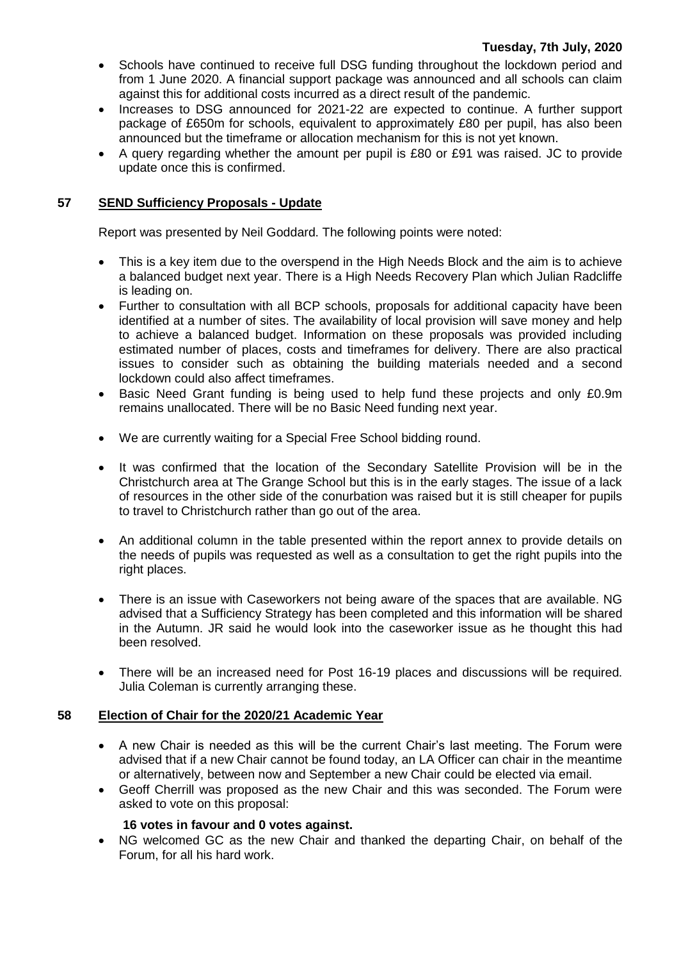- Schools have continued to receive full DSG funding throughout the lockdown period and from 1 June 2020. A financial support package was announced and all schools can claim against this for additional costs incurred as a direct result of the pandemic.
- Increases to DSG announced for 2021-22 are expected to continue. A further support package of £650m for schools, equivalent to approximately £80 per pupil, has also been announced but the timeframe or allocation mechanism for this is not yet known.
- A query regarding whether the amount per pupil is £80 or £91 was raised. JC to provide update once this is confirmed.

# **57 SEND Sufficiency Proposals - Update**

Report was presented by Neil Goddard. The following points were noted:

- This is a key item due to the overspend in the High Needs Block and the aim is to achieve a balanced budget next year. There is a High Needs Recovery Plan which Julian Radcliffe is leading on.
- Further to consultation with all BCP schools, proposals for additional capacity have been identified at a number of sites. The availability of local provision will save money and help to achieve a balanced budget. Information on these proposals was provided including estimated number of places, costs and timeframes for delivery. There are also practical issues to consider such as obtaining the building materials needed and a second lockdown could also affect timeframes.
- Basic Need Grant funding is being used to help fund these projects and only £0.9m remains unallocated. There will be no Basic Need funding next year.
- We are currently waiting for a Special Free School bidding round.
- It was confirmed that the location of the Secondary Satellite Provision will be in the Christchurch area at The Grange School but this is in the early stages. The issue of a lack of resources in the other side of the conurbation was raised but it is still cheaper for pupils to travel to Christchurch rather than go out of the area.
- An additional column in the table presented within the report annex to provide details on the needs of pupils was requested as well as a consultation to get the right pupils into the right places.
- There is an issue with Caseworkers not being aware of the spaces that are available. NG advised that a Sufficiency Strategy has been completed and this information will be shared in the Autumn. JR said he would look into the caseworker issue as he thought this had been resolved.
- There will be an increased need for Post 16-19 places and discussions will be required. Julia Coleman is currently arranging these.

# **58 Election of Chair for the 2020/21 Academic Year**

- A new Chair is needed as this will be the current Chair's last meeting. The Forum were advised that if a new Chair cannot be found today, an LA Officer can chair in the meantime or alternatively, between now and September a new Chair could be elected via email.
- Geoff Cherrill was proposed as the new Chair and this was seconded. The Forum were asked to vote on this proposal:

# **16 votes in favour and 0 votes against.**

 NG welcomed GC as the new Chair and thanked the departing Chair, on behalf of the Forum, for all his hard work.